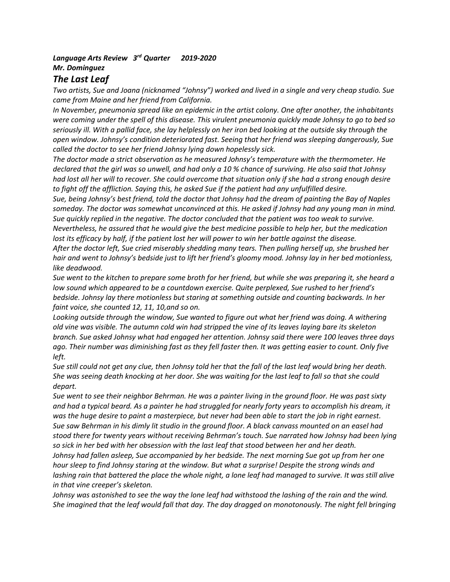## *Language Arts Review 3 rd Quarter 2019-2020 Mr. Dominguez*

## *The Last Leaf*

*Two artists, Sue and Joana (nicknamed "Johnsy") worked and lived in a single and very cheap studio. Sue came from Maine and her friend from California.* 

*In November, pneumonia spread like an epidemic in the artist colony. One after another, the inhabitants were coming under the spell of this disease. This virulent pneumonia quickly made Johnsy to go to bed so seriously ill. With a pallid face, she lay helplessly on her iron bed looking at the outside sky through the open window. Johnsy's condition deteriorated fast. Seeing that her friend was sleeping dangerously, Sue called the doctor to see her friend Johnsy lying down hopelessly sick.* 

*The doctor made a strict observation as he measured Johnsy's temperature with the thermometer. He declared that the girl was so unwell, and had only a 10 % chance of surviving. He also said that Johnsy had lost all her will to recover. She could overcome that situation only if she had a strong enough desire to fight off the affliction. Saying this, he asked Sue if the patient had any unfulfilled desire.*

*Sue, being Johnsy's best friend, told the doctor that Johnsy had the dream of painting the Bay of Naples someday. The doctor was somewhat unconvinced at this. He asked if Johnsy had any young man in mind. Sue quickly replied in the negative. The doctor concluded that the patient was too weak to survive. Nevertheless, he assured that he would give the best medicine possible to help her, but the medication lost its efficacy by half, if the patient lost her will power to win her battle against the disease.* 

*After the doctor left, Sue cried miserably shedding many tears. Then pulling herself up, she brushed her hair and went to Johnsy's bedside just to lift her friend's gloomy mood. Johnsy lay in her bed motionless, like deadwood.*

*Sue went to the kitchen to prepare some broth for her friend, but while she was preparing it, she heard a low sound which appeared to be a countdown exercise. Quite perplexed, Sue rushed to her friend's bedside. Johnsy lay there motionless but staring at something outside and counting backwards. In her faint voice, she counted 12, 11, 10,and so on.*

*Looking outside through the window, Sue wanted to figure out what her friend was doing. A withering old vine was visible. The autumn cold win had stripped the vine of its leaves laying bare its skeleton branch. Sue asked Johnsy what had engaged her attention. Johnsy said there were 100 leaves three days ago. Their number was diminishing fast as they fell faster then. It was getting easier to count. Only five left.*

*Sue still could not get any clue, then Johnsy told her that the fall of the last leaf would bring her death. She was seeing death knocking at her door. She was waiting for the last leaf to fall so that she could depart.*

*Sue went to see their neighbor Behrman. He was a painter living in the ground floor. He was past sixty and had a typical beard. As a painter he had struggled for nearly forty years to accomplish his dream, it was the huge desire to paint a masterpiece, but never had been able to start the job in right earnest. Sue saw Behrman in his dimly lit studio in the ground floor. A black canvass mounted on an easel had stood there for twenty years without receiving Behrman's touch. Sue narrated how Johnsy had been lying so sick in her bed with her obsession with the last leaf that stood between her and her death. Johnsy had fallen asleep, Sue accompanied by her bedside. The next morning Sue got up from her one hour sleep to find Johnsy staring at the window. But what a surprise! Despite the strong winds and lashing rain that battered the place the whole night, a lone leaf had managed to survive. It was still alive in that vine creeper's skeleton.*

*Johnsy was astonished to see the way the lone leaf had withstood the lashing of the rain and the wind. She imagined that the leaf would fall that day. The day dragged on monotonously. The night fell bringing*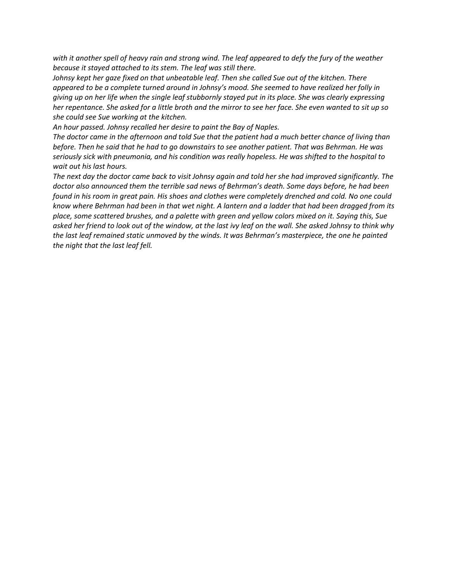*with it another spell of heavy rain and strong wind. The leaf appeared to defy the fury of the weather because it stayed attached to its stem. The leaf was still there.*

*Johnsy kept her gaze fixed on that unbeatable leaf. Then she called Sue out of the kitchen. There appeared to be a complete turned around in Johnsy's mood. She seemed to have realized her folly in giving up on her life when the single leaf stubbornly stayed put in its place. She was clearly expressing her repentance. She asked for a little broth and the mirror to see her face. She even wanted to sit up so she could see Sue working at the kitchen.*

*An hour passed. Johnsy recalled her desire to paint the Bay of Naples.* 

*The doctor came in the afternoon and told Sue that the patient had a much better chance of living than before. Then he said that he had to go downstairs to see another patient. That was Behrman. He was seriously sick with pneumonia, and his condition was really hopeless. He was shifted to the hospital to wait out his last hours.*

*The next day the doctor came back to visit Johnsy again and told her she had improved significantly. The doctor also announced them the terrible sad news of Behrman's death. Some days before, he had been found in his room in great pain. His shoes and clothes were completely drenched and cold. No one could know where Behrman had been in that wet night. A lantern and a ladder that had been dragged from its place, some scattered brushes, and a palette with green and yellow colors mixed on it. Saying this, Sue asked her friend to look out of the window, at the last ivy leaf on the wall. She asked Johnsy to think why the last leaf remained static unmoved by the winds. It was Behrman's masterpiece, the one he painted the night that the last leaf fell.*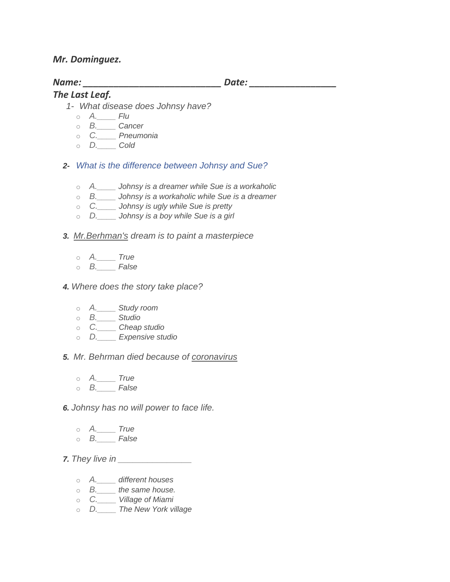## *Mr. Dominguez.*

# *Name: \_\_\_\_\_\_\_\_\_\_\_\_\_\_\_\_\_\_\_\_\_\_\_\_\_\_\_ Date: \_\_\_\_\_\_\_\_\_\_\_\_\_\_\_\_\_*

### *The Last Leaf.*

- *1- What disease does Johnsy have?*
	- o *A.\_\_\_\_ Flu*
	- o *B.\_\_\_\_ Cancer*
	- o *C.\_\_\_\_ Pneumonia*
	- o *D.\_\_\_\_ Cold*
- *2- [What is the difference between Johnsy and Sue?](https://www.proprofs.com/discuss/q/310171/what-is-the-difference-between-johnsy-and-sue)*
	- o *A.\_\_\_\_ Johnsy is a dreamer while Sue is a workaholic*
	- o *B.\_\_\_\_ Johnsy is a workaholic while Sue is a dreamer*
	- o *C.\_\_\_\_ Johnsy is ugly while Sue is pretty*
	- o *D.\_\_\_\_ Johnsy is a boy while Sue is a girl*
- *3. Mr.Berhman's dream is to paint a masterpiece*
	- o *A.\_\_\_\_ True*
	- o *B.\_\_\_\_ False*

#### *4. Where does the story take place?*

- o *A.\_\_\_\_ Study room*
- o *B.\_\_\_\_ Studio*
- o *C.\_\_\_\_ Cheap studio*
- o *D.\_\_\_\_ Expensive studio*

*5. Mr. Behrman died because of coronavirus*

- o *A.\_\_\_\_ True*
- o *B.\_\_\_\_ False*

*6. Johnsy has no will power to face life.*

- o *A.\_\_\_\_ True*
- o *B.\_\_\_\_ False*

*7. They live in \_\_\_\_\_\_\_\_\_\_\_\_\_\_\_*

- o *A.\_\_\_\_ different houses*
- o *B.\_\_\_\_ the same house.*
- o *C.\_\_\_\_ Village of Miami*
- o *D.\_\_\_\_ The New York village*